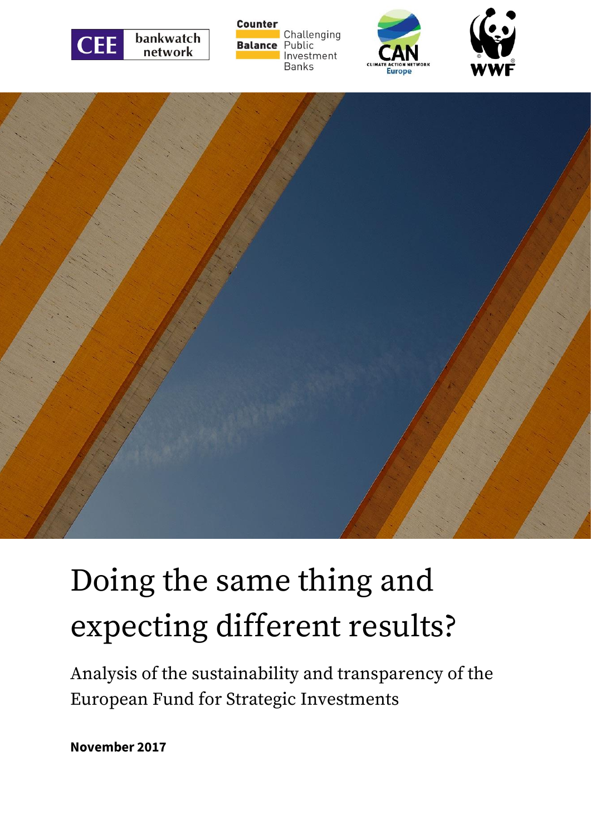









# Doing the same thing and expecting different results?

Analysis of the sustainability and transparency of the European Fund for Strategic Investments

**November 2017**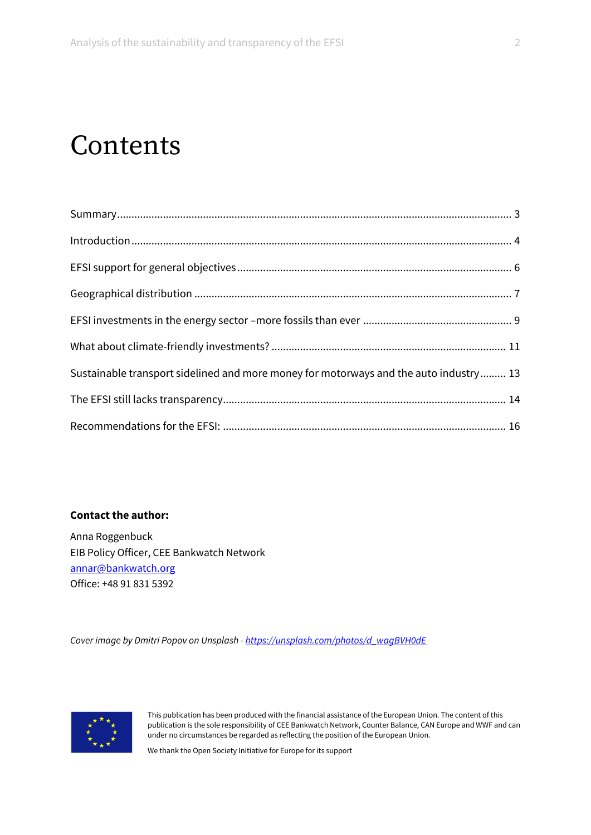### Contents

| Sustainable transport sidelined and more money for motorways and the auto industry 13 |  |
|---------------------------------------------------------------------------------------|--|
|                                                                                       |  |
|                                                                                       |  |

#### **Contact the author:**

Anna Roggenbuck EIB Policy Officer, CEE Bankwatch Network [annar@bankwatch.org](mailto:annar@bankwatch.org) Office: +48 91 831 5392

*Cover image by Dmitri Popov on Unsplash - [https://unsplash.com/photos/d\\_wagBVH0dE](https://unsplash.com/photos/d_wagBVH0dE)*



This publication has been produced with the financial assistance of the European Union. The content of this publication is the sole responsibility of CEE Bankwatch Network, Counter Balance, CAN Europe and WWF and can under no circumstances be regarded as reflecting the position of the European Union.

We thank the Open Society Initiative for Europe for its support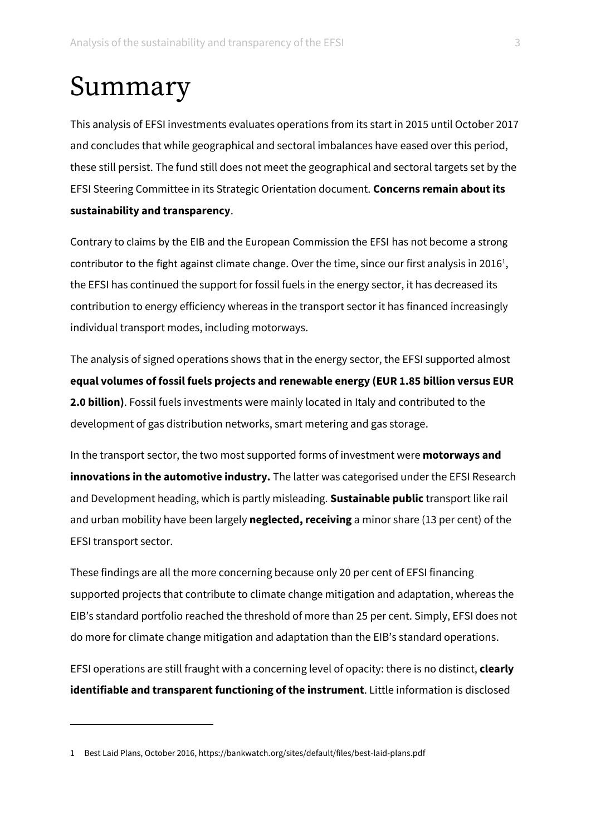### Summary

This analysis of EFSI investments evaluates operations from its start in 2015 until October 2017 and concludes that while geographical and sectoral imbalances have eased over this period, these still persist. The fund still does not meet the geographical and sectoral targets set by the EFSI Steering Committee in its Strategic Orientation document. **Concerns remain about its sustainability and transparency**.

Contrary to claims by the EIB and the European Commission the EFSI has not become a strong contributor to the fight against climate change. Over the time, since our first analysis in 2016<sup>1</sup>, the EFSI has continued the support for fossil fuels in the energy sector, it has decreased its contribution to energy efficiency whereas in the transport sector it has financed increasingly individual transport modes, including motorways.

The analysis of signed operations shows that in the energy sector, the EFSI supported almost **equal volumes of fossil fuels projects and renewable energy (EUR 1.85 billion versus EUR 2.0 billion)**. Fossil fuels investments were mainly located in Italy and contributed to the development of gas distribution networks, smart metering and gas storage.

In the transport sector, the two most supported forms of investment were **motorways and innovations in the automotive industry.** The latter was categorised under the EFSI Research and Development heading, which is partly misleading. **Sustainable public** transport like rail and urban mobility have been largely **neglected, receiving** a minor share (13 per cent) of the EFSI transport sector.

These findings are all the more concerning because only 20 per cent of EFSI financing supported projects that contribute to climate change mitigation and adaptation, whereas the EIB's standard portfolio reached the threshold of more than 25 per cent. Simply, EFSI does not do more for climate change mitigation and adaptation than the EIB's standard operations.

EFSI operations are still fraught with a concerning level of opacity: there is no distinct, **clearly identifiable and transparent functioning of the instrument**. Little information is disclosed

<sup>1</sup> Best Laid Plans, October 2016, https://bankwatch.org/sites/default/files/best-laid-plans.pdf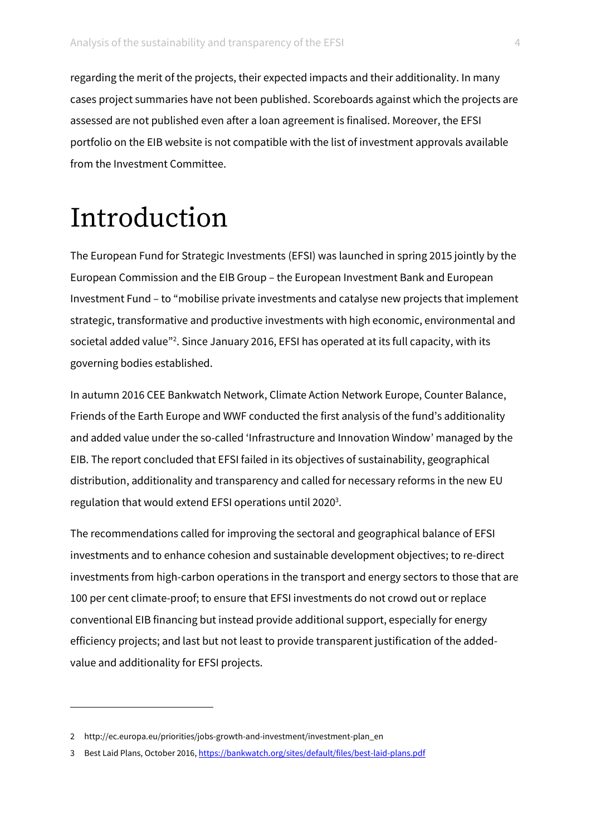regarding the merit of the projects, their expected impacts and their additionality. In many cases project summaries have not been published. Scoreboards against which the projects are assessed are not published even after a loan agreement is finalised. Moreover, the EFSI portfolio on the EIB website is not compatible with the list of investment approvals available from the Investment Committee.

### Introduction

The European Fund for Strategic Investments (EFSI) was launched in spring 2015 jointly by the European Commission and the EIB Group – the European Investment Bank and European Investment Fund – to "mobilise private investments and catalyse new projects that implement strategic, transformative and productive investments with high economic, environmental and societal added value"<sup>2</sup>. Since January 2016, EFSI has operated at its full capacity, with its governing bodies established.

In autumn 2016 CEE Bankwatch Network, Climate Action Network Europe, Counter Balance, Friends of the Earth Europe and WWF conducted the first analysis of the fund's additionality and added value under the so-called 'Infrastructure and Innovation Window' managed by the EIB. The report concluded that EFSI failed in its objectives of sustainability, geographical distribution, additionality and transparency and called for necessary reforms in the new EU regulation that would extend EFSI operations until 2020<sup>3</sup>.

The recommendations called for improving the sectoral and geographical balance of EFSI investments and to enhance cohesion and sustainable development objectives; to re-direct investments from high-carbon operations in the transport and energy sectors to those that are 100 per cent climate-proof; to ensure that EFSI investments do not crowd out or replace conventional EIB financing but instead provide additional support, especially for energy efficiency projects; and last but not least to provide transparent justification of the addedvalue and additionality for EFSI projects.

<sup>2</sup> http://ec.europa.eu/priorities/jobs-growth-and-investment/investment-plan\_en

<sup>3</sup> Best Laid Plans, October 2016, <https://bankwatch.org/sites/default/files/best-laid-plans.pdf>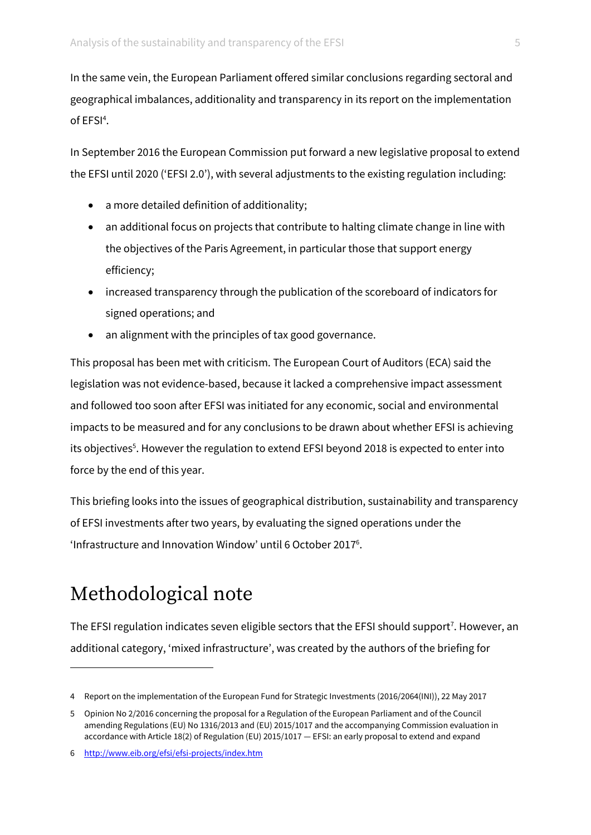In the same vein, the European Parliament offered similar conclusions regarding sectoral and geographical imbalances, additionality and transparency in its report on the implementation of EFSI<sup>4</sup>.

In September 2016 the European Commission put forward a new legislative proposal to extend the EFSI until 2020 ('EFSI 2.0'), with several adjustments to the existing regulation including:

- a more detailed definition of additionality;
- an additional focus on projects that contribute to halting climate change in line with the objectives of the Paris Agreement, in particular those that support energy efficiency;
- increased transparency through the publication of the scoreboard of indicators for signed operations; and
- an alignment with the principles of tax good governance.

This proposal has been met with criticism. The European Court of Auditors (ECA) said the legislation was not evidence-based, because it lacked a comprehensive impact assessment and followed too soon after EFSI was initiated for any economic, social and environmental impacts to be measured and for any conclusions to be drawn about whether EFSI is achieving its objectives<sup>5</sup>. However the regulation to extend EFSI beyond 2018 is expected to enter into force by the end of this year.

This briefing looks into the issues of geographical distribution, sustainability and transparency of EFSI investments after two years, by evaluating the signed operations under the 'Infrastructure and Innovation Window' until 6 October 2017<sup>6</sup>.

### Methodological note

<u>.</u>

The EFSI regulation indicates seven eligible sectors that the EFSI should support<sup>7</sup>. However, an additional category, 'mixed infrastructure', was created by the authors of the briefing for

<sup>4</sup> Report on the implementation of the European Fund for Strategic Investments (2016/2064(INI)), 22 May 2017

<sup>5</sup> Opinion No 2/2016 concerning the proposal for a Regulation of the European Parliament and of the Council amending Regulations (EU) No 1316/2013 and (EU) 2015/1017 and the accompanying Commission evaluation in accordance with Article 18(2) of Regulation (EU) 2015/1017 — EFSI: an early proposal to extend and expand

<sup>6</sup> <http://www.eib.org/efsi/efsi-projects/index.htm>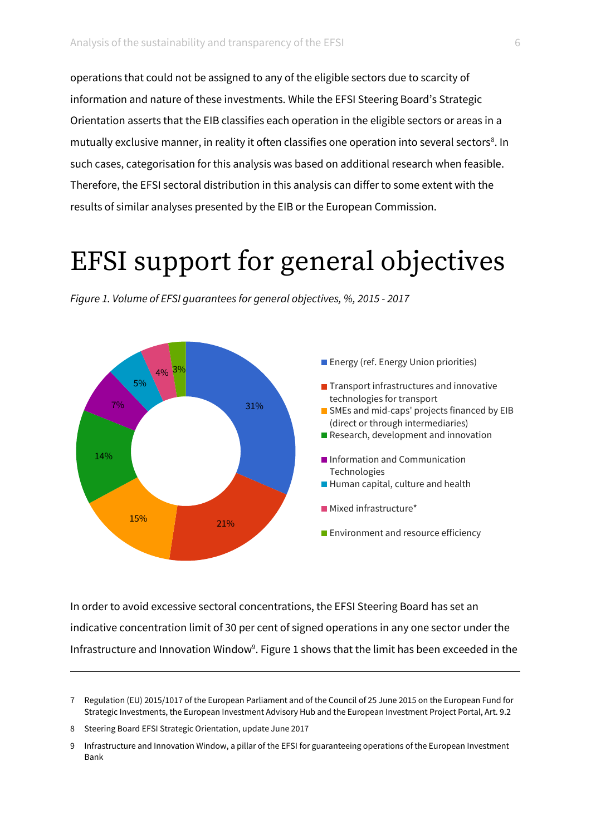operations that could not be assigned to any of the eligible sectors due to scarcity of information and nature of these investments. While the EFSI Steering Board's Strategic Orientation asserts that the EIB classifies each operation in the eligible sectors or areas in a mutually exclusive manner, in reality it often classifies one operation into several sectors<sup>8</sup>. In such cases, categorisation for this analysis was based on additional research when feasible. Therefore, the EFSI sectoral distribution in this analysis can differ to some extent with the results of similar analyses presented by the EIB or the European Commission.

### EFSI support for general objectives



*Figure 1. Volume of EFSI guarantees for general objectives, %, 2015 - 2017*

In order to avoid excessive sectoral concentrations, the EFSI Steering Board has set an indicative concentration limit of 30 per cent of signed operations in any one sector under the Infrastructure and Innovation Window<sup>9</sup>. Figure 1 shows that the limit has been exceeded in the

 $\overline{a}$ 

<sup>7</sup> Regulation (EU) 2015/1017 of the European Parliament and of the Council of 25 June 2015 on the European Fund for Strategic Investments, the European Investment Advisory Hub and the European Investment Project Portal, Art. 9.2

<sup>8</sup> Steering Board EFSI Strategic Orientation, update June 2017

<sup>9</sup> Infrastructure and Innovation Window, a pillar of the EFSI for guaranteeing operations of the European Investment Bank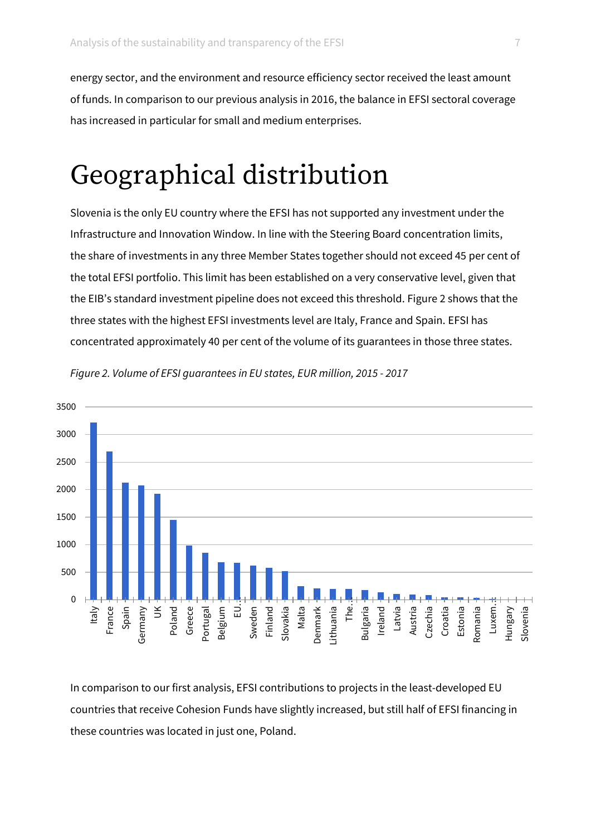energy sector, and the environment and resource efficiency sector received the least amount of funds. In comparison to our previous analysis in 2016, the balance in EFSI sectoral coverage has increased in particular for small and medium enterprises.

### Geographical distribution

Slovenia is the only EU country where the EFSI has not supported any investment under the Infrastructure and Innovation Window. In line with the Steering Board concentration limits, the share of investments in any three Member States together should not exceed 45 per cent of the total EFSI portfolio. This limit has been established on a very conservative level, given that the EIB's standard investment pipeline does not exceed this threshold. Figure 2 shows that the three states with the highest EFSI investments level are Italy, France and Spain. EFSI has concentrated approximately 40 per cent of the volume of its guarantees in those three states.



*Figure 2. Volume of EFSI guarantees in EU states, EUR million, 2015 - 2017* 

In comparison to our first analysis, EFSI contributions to projects in the least-developed EU countries that receive Cohesion Funds have slightly increased, but still half of EFSI financing in these countries was located in just one, Poland.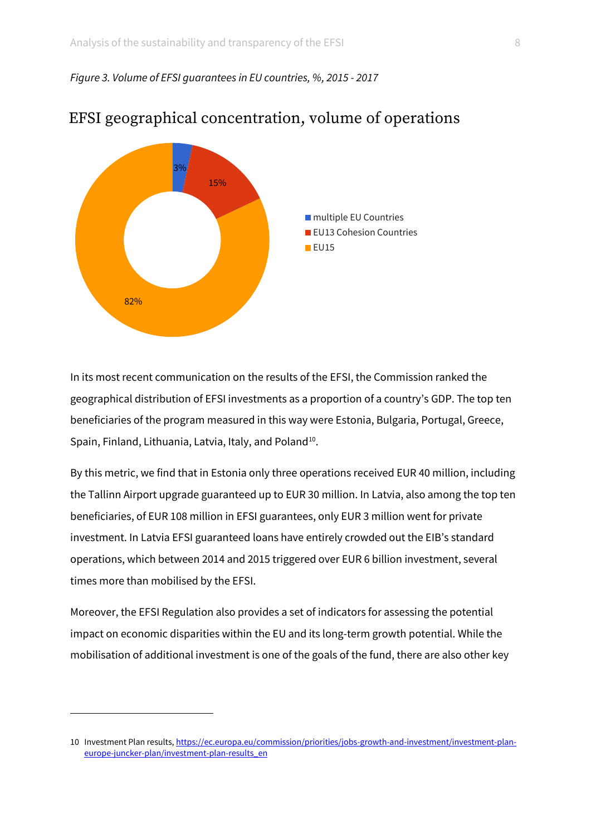#### *Figure 3. Volume of EFSI guarantees in EU countries, %, 2015 - 2017*



#### EFSI geographical concentration, volume of operations

In its most recent communication on the results of the EFSI, the Commission ranked the geographical distribution of EFSI investments as a proportion of a country's GDP. The top ten beneficiaries of the program measured in this way were Estonia, Bulgaria, Portugal, Greece, Spain, Finland, Lithuania, Latvia, Italy, and Poland<sup>10</sup>.

By this metric, we find that in Estonia only three operations received EUR 40 million, including the Tallinn Airport upgrade guaranteed up to EUR 30 million. In Latvia, also among the top ten beneficiaries, of EUR 108 million in EFSI guarantees, only EUR 3 million went for private investment. In Latvia EFSI guaranteed loans have entirely crowded out the EIB's standard operations, which between 2014 and 2015 triggered over EUR 6 billion investment, several times more than mobilised by the EFSI.

Moreover, the EFSI Regulation also provides a set of indicators for assessing the potential impact on economic disparities within the EU and its long-term growth potential. While the mobilisation of additional investment is one of the goals of the fund, there are also other key

<sup>10</sup> Investment Plan results[, https://ec.europa.eu/commission/priorities/jobs-growth-and-investment/investment-plan](https://ec.europa.eu/commission/priorities/jobs-growth-and-investment/investment-plan-europe-juncker-plan/investment-plan-results_en)[europe-juncker-plan/investment-plan-results\\_en](https://ec.europa.eu/commission/priorities/jobs-growth-and-investment/investment-plan-europe-juncker-plan/investment-plan-results_en)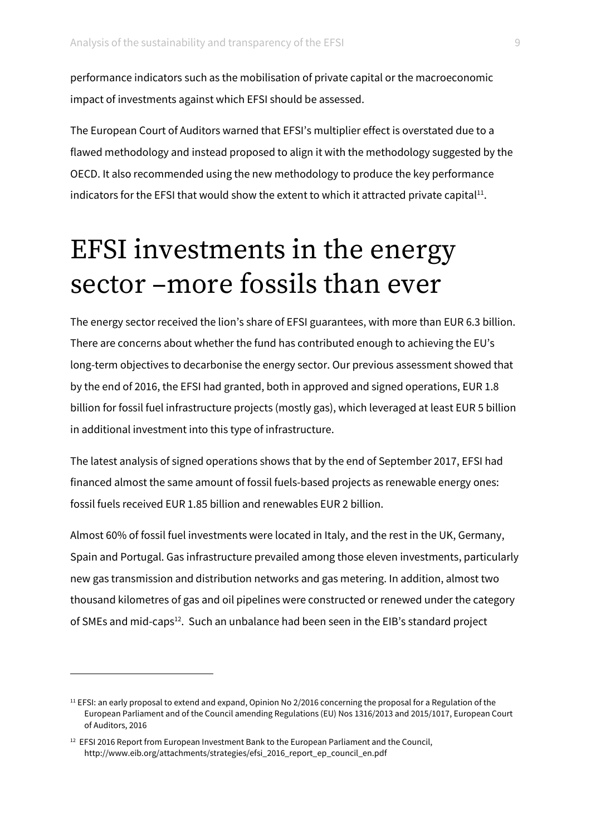performance indicators such as the mobilisation of private capital or the macroeconomic impact of investments against which EFSI should be assessed.

The European Court of Auditors warned that EFSI's multiplier effect is overstated due to a flawed methodology and instead proposed to align it with the methodology suggested by the OECD. It also recommended using the new methodology to produce the key performance indicators for the EFSI that would show the extent to which it attracted private capital $^{11}$ .

### EFSI investments in the energy sector –more fossils than ever

The energy sector received the lion's share of EFSI guarantees, with more than EUR 6.3 billion. There are concerns about whether the fund has contributed enough to achieving the EU's long-term objectives to decarbonise the energy sector. Our previous assessment showed that by the end of 2016, the EFSI had granted, both in approved and signed operations, EUR 1.8 billion for fossil fuel infrastructure projects (mostly gas), which leveraged at least EUR 5 billion in additional investment into this type of infrastructure.

The latest analysis of signed operations shows that by the end of September 2017, EFSI had financed almost the same amount of fossil fuels-based projects as renewable energy ones: fossil fuels received EUR 1.85 billion and renewables EUR 2 billion.

Almost 60% of fossil fuel investments were located in Italy, and the rest in the UK, Germany, Spain and Portugal. Gas infrastructure prevailed among those eleven investments, particularly new gas transmission and distribution networks and gas metering. In addition, almost two thousand kilometres of gas and oil pipelines were constructed or renewed under the category of SMEs and mid-caps<sup>12</sup>. Such an unbalance had been seen in the EIB's standard project

<sup>&</sup>lt;sup>11</sup> EFSI: an early proposal to extend and expand, Opinion No 2/2016 concerning the proposal for a Regulation of the European Parliament and of the Council amending Regulations (EU) Nos 1316/2013 and 2015/1017, European Court of Auditors, 2016

 $12$  EFSI 2016 Report from European Investment Bank to the European Parliament and the Council, http://www.eib.org/attachments/strategies/efsi\_2016\_report\_ep\_council\_en.pdf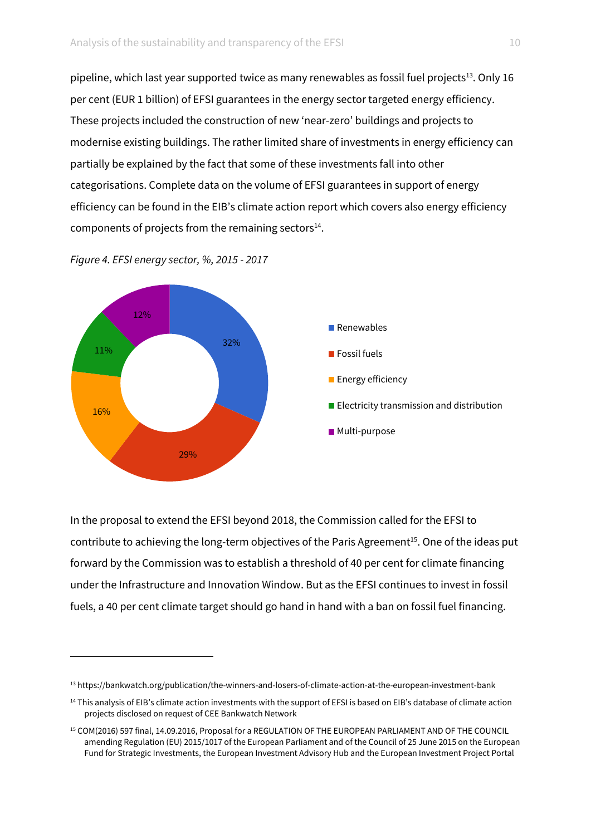pipeline, which last year supported twice as many renewables as fossil fuel projects<sup>13</sup>. Only 16 per cent (EUR 1 billion) of EFSI guarantees in the energy sector targeted energy efficiency. These projects included the construction of new 'near-zero' buildings and projects to modernise existing buildings. The rather limited share of investments in energy efficiency can partially be explained by the fact that some of these investments fall into other categorisations. Complete data on the volume of EFSI guarantees in support of energy efficiency can be found in the EIB's climate action report which covers also energy efficiency components of projects from the remaining sectors $14$ .



*Figure 4. EFSI energy sector, %, 2015 - 2017* 

<u>.</u>

In the proposal to extend the EFSI beyond 2018, the Commission called for the EFSI to contribute to achieving the long-term objectives of the Paris Agreement<sup>15</sup>. One of the ideas put forward by the Commission was to establish a threshold of 40 per cent for climate financing under the Infrastructure and Innovation Window. But as the EFSI continues to invest in fossil fuels, a 40 per cent climate target should go hand in hand with a ban on fossil fuel financing.

<sup>13</sup> https://bankwatch.org/publication/the-winners-and-losers-of-climate-action-at-the-european-investment-bank

<sup>&</sup>lt;sup>14</sup> This analysis of EIB's climate action investments with the support of EFSI is based on EIB's database of climate action projects disclosed on request of CEE Bankwatch Network

<sup>15</sup> COM(2016) 597 final, 14.09.2016, Proposal for a REGULATION OF THE EUROPEAN PARLIAMENT AND OF THE COUNCIL amending Regulation (EU) 2015/1017 of the European Parliament and of the Council of 25 June 2015 on the European Fund for Strategic Investments, the European Investment Advisory Hub and the European Investment Project Portal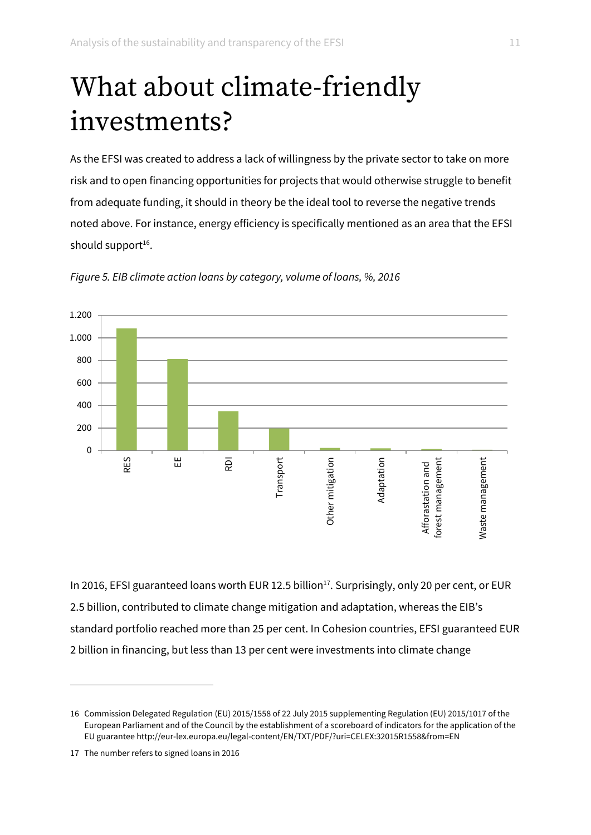## What about climate-friendly investments?

As the EFSI was created to address a lack of willingness by the private sector to take on more risk and to open financing opportunities for projects that would otherwise struggle to benefit from adequate funding, it should in theory be the ideal tool to reverse the negative trends noted above. For instance, energy efficiency is specifically mentioned as an area that the EFSI should support<sup>16</sup>.



*Figure 5. EIB climate action loans by category, volume of loans, %, 2016*

In 2016, EFSI guaranteed loans worth EUR 12.5 billion<sup>17</sup>. Surprisingly, only 20 per cent, or EUR 2.5 billion, contributed to climate change mitigation and adaptation, whereas the EIB's standard portfolio reached more than 25 per cent. In Cohesion countries, EFSI guaranteed EUR 2 billion in financing, but less than 13 per cent were investments into climate change

<sup>16</sup> Commission Delegated Regulation (EU) 2015/1558 of 22 July 2015 supplementing Regulation (EU) 2015/1017 of the European Parliament and of the Council by the establishment of a scoreboard of indicators for the application of the EU guarantee http://eur-lex.europa.eu/legal-content/EN/TXT/PDF/?uri=CELEX:32015R1558&from=EN

<sup>17</sup> The number refers to signed loans in 2016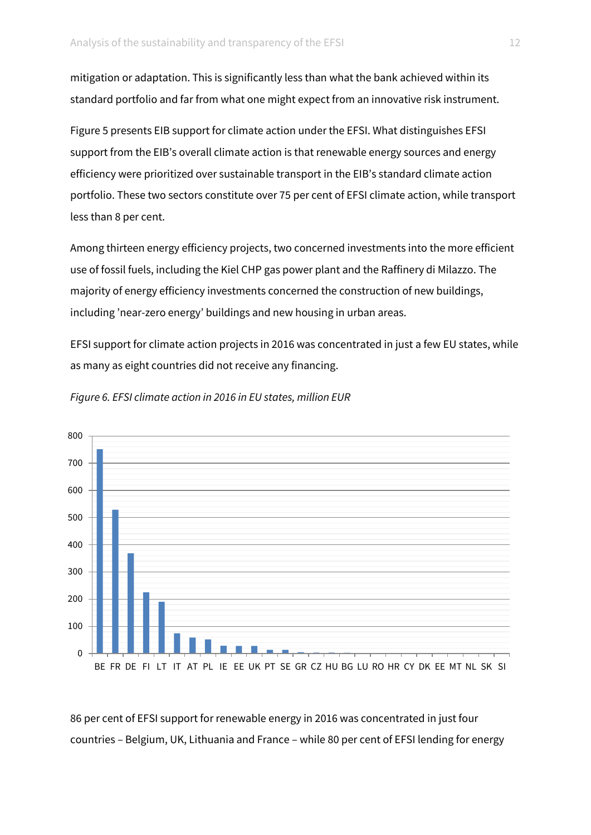mitigation or adaptation. This is significantly less than what the bank achieved within its standard portfolio and far from what one might expect from an innovative risk instrument.

Figure 5 presents EIB support for climate action under the EFSI. What distinguishes EFSI support from the EIB's overall climate action is that renewable energy sources and energy efficiency were prioritized over sustainable transport in the EIB's standard climate action portfolio. These two sectors constitute over 75 per cent of EFSI climate action, while transport less than 8 per cent.

Among thirteen energy efficiency projects, two concerned investments into the more efficient use of fossil fuels, including the Kiel CHP gas power plant and the Raffinery di Milazzo. The majority of energy efficiency investments concerned the construction of new buildings, including 'near-zero energy' buildings and new housing in urban areas.

EFSI support for climate action projects in 2016 was concentrated in just a few EU states, while as many as eight countries did not receive any financing.



*Figure 6. EFSI climate action in 2016 in EU states, million EUR*

86 per cent of EFSI support for renewable energy in 2016 was concentrated in just four countries – Belgium, UK, Lithuania and France – while 80 per cent of EFSI lending for energy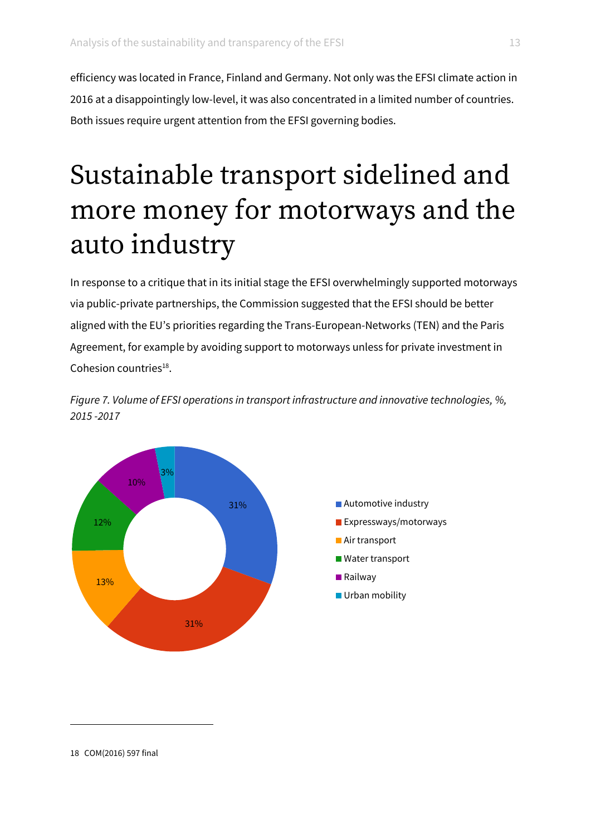efficiency was located in France, Finland and Germany. Not only was the EFSI climate action in 2016 at a disappointingly low-level, it was also concentrated in a limited number of countries. Both issues require urgent attention from the EFSI governing bodies.

### Sustainable transport sidelined and more money for motorways and the auto industry

In response to a critique that in its initial stage the EFSI overwhelmingly supported motorways via public-private partnerships, the Commission suggested that the EFSI should be better aligned with the EU's priorities regarding the Trans-European-Networks (TEN) and the Paris Agreement, for example by avoiding support to motorways unless for private investment in Cohesion countries<sup>18</sup>.

*Figure 7. Volume of EFSI operations in transport infrastructure and innovative technologies, %, 2015 -2017* 

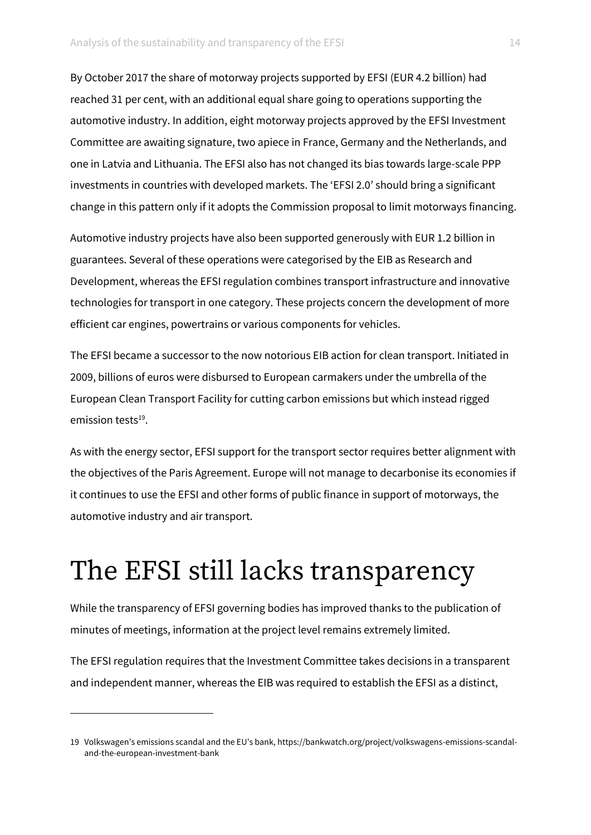By October 2017 the share of motorway projects supported by EFSI (EUR 4.2 billion) had reached 31 per cent, with an additional equal share going to operations supporting the automotive industry. In addition, eight motorway projects approved by the EFSI Investment Committee are awaiting signature, two apiece in France, Germany and the Netherlands, and one in Latvia and Lithuania. The EFSI also has not changed its bias towards large-scale PPP investments in countries with developed markets. The 'EFSI 2.0' should bring a significant change in this pattern only if it adopts the Commission proposal to limit motorways financing.

Automotive industry projects have also been supported generously with EUR 1.2 billion in guarantees. Several of these operations were categorised by the EIB as Research and Development, whereas the EFSI regulation combines transport infrastructure and innovative technologies for transport in one category. These projects concern the development of more efficient car engines, powertrains or various components for vehicles.

The EFSI became a successor to the now notorious EIB action for clean transport. Initiated in 2009, billions of euros were disbursed to European carmakers under the umbrella of the European Clean Transport Facility for cutting carbon emissions but which instead rigged emission tests<sup>19</sup>.

As with the energy sector, EFSI support for the transport sector requires better alignment with the objectives of the Paris Agreement. Europe will not manage to decarbonise its economies if it continues to use the EFSI and other forms of public finance in support of motorways, the automotive industry and air transport.

### The EFSI still lacks transparency

While the transparency of EFSI governing bodies has improved thanks to the publication of minutes of meetings, information at the project level remains extremely limited.

The EFSI regulation requires that the Investment Committee takes decisions in a transparent and independent manner, whereas the EIB was required to establish the EFSI as a distinct,

<sup>19</sup> Volkswagen's emissions scandal and the EU's bank, https://bankwatch.org/project/volkswagens-emissions-scandaland-the-european-investment-bank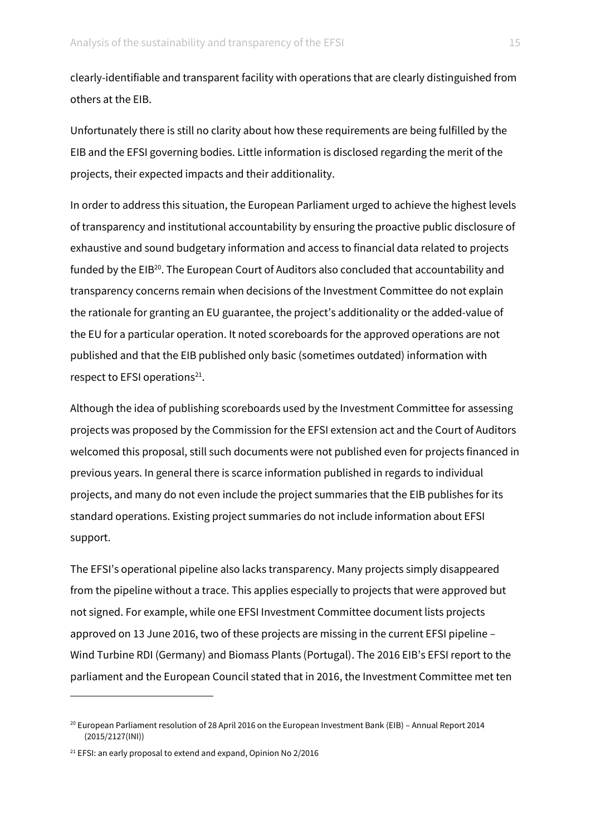clearly-identifiable and transparent facility with operations that are clearly distinguished from others at the EIB.

Unfortunately there is still no clarity about how these requirements are being fulfilled by the EIB and the EFSI governing bodies. Little information is disclosed regarding the merit of the projects, their expected impacts and their additionality.

In order to address this situation, the European Parliament urged to achieve the highest levels of transparency and institutional accountability by ensuring the proactive public disclosure of exhaustive and sound budgetary information and access to financial data related to projects funded by the EIB<sup>20</sup>. The European Court of Auditors also concluded that accountability and transparency concerns remain when decisions of the Investment Committee do not explain the rationale for granting an EU guarantee, the project's additionality or the added-value of the EU for a particular operation. It noted scoreboards for the approved operations are not published and that the EIB published only basic (sometimes outdated) information with respect to EFSI operations $^{21}$ .

Although the idea of publishing scoreboards used by the Investment Committee for assessing projects was proposed by the Commission for the EFSI extension act and the Court of Auditors welcomed this proposal, still such documents were not published even for projects financed in previous years. In general there is scarce information published in regards to individual projects, and many do not even include the project summaries that the EIB publishes for its standard operations. Existing project summaries do not include information about EFSI support.

The EFSI's operational pipeline also lacks transparency. Many projects simply disappeared from the pipeline without a trace. This applies especially to projects that were approved but not signed. For example, while one EFSI Investment Committee document lists projects approved on 13 June 2016, two of these projects are missing in the current EFSI pipeline – Wind Turbine RDI (Germany) and Biomass Plants (Portugal). The 2016 EIB's EFSI report to the parliament and the European Council stated that in 2016, the Investment Committee met ten

1

<sup>&</sup>lt;sup>20</sup> European Parliament resolution of 28 April 2016 on the European Investment Bank (EIB) – Annual Report 2014 (2015/2127(INI))

 $21$  EFSI: an early proposal to extend and expand, Opinion No 2/2016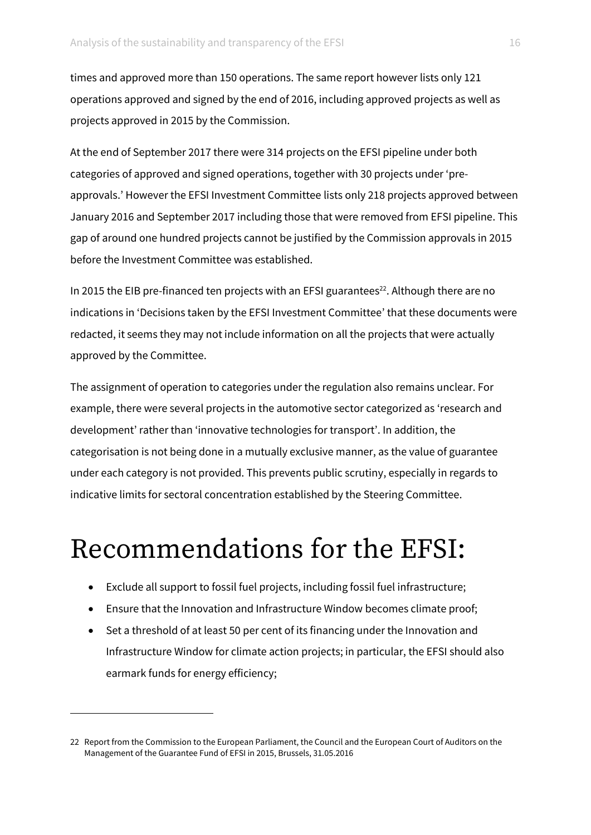times and approved more than 150 operations. The same report however lists only 121 operations approved and signed by the end of 2016, including approved projects as well as projects approved in 2015 by the Commission.

At the end of September 2017 there were 314 projects on the EFSI pipeline under both categories of approved and signed operations, together with 30 projects under 'preapprovals.' However the EFSI Investment Committee lists only 218 projects approved between January 2016 and September 2017 including those that were removed from EFSI pipeline. This gap of around one hundred projects cannot be justified by the Commission approvals in 2015 before the Investment Committee was established.

In 2015 the EIB pre-financed ten projects with an EFSI guarantees<sup>22</sup>. Although there are no indications in 'Decisions taken by the EFSI Investment Committee' that these documents were redacted, it seems they may not include information on all the projects that were actually approved by the Committee.

The assignment of operation to categories under the regulation also remains unclear. For example, there were several projects in the automotive sector categorized as 'research and development' rather than 'innovative technologies for transport'. In addition, the categorisation is not being done in a mutually exclusive manner, as the value of guarantee under each category is not provided. This prevents public scrutiny, especially in regards to indicative limits for sectoral concentration established by the Steering Committee.

### Recommendations for the EFSI:

- Exclude all support to fossil fuel projects, including fossil fuel infrastructure;
- Ensure that the Innovation and Infrastructure Window becomes climate proof;
- Set a threshold of at least 50 per cent of its financing under the Innovation and Infrastructure Window for climate action projects; in particular, the EFSI should also earmark funds for energy efficiency;

<sup>22</sup> Report from the Commission to the European Parliament, the Council and the European Court of Auditors on the Management of the Guarantee Fund of EFSI in 2015, Brussels, 31.05.2016